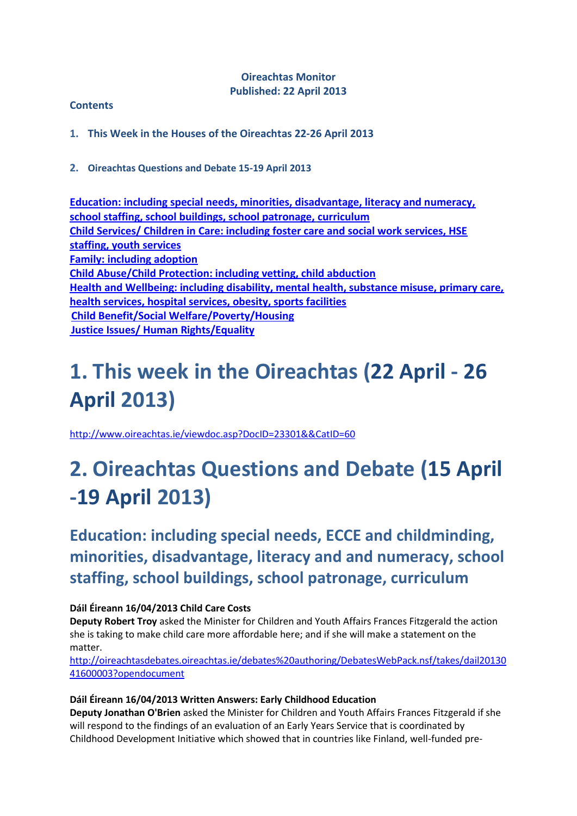### **Oireachtas Monitor Published: 22 April 2013**

### **Contents**

**1. This Week in the Houses of the Oireachtas 22-26 April 2013**

**2. Oireachtas Questions and Debate 15-19 April 2013**

**[Education: including special needs, minorities, disadvantage, literacy and numeracy,](#page-0-0)  [school staffing, school buildings, school patronage,](#page-0-0) curriculum [Child Services/ Children in Care: including foster care and social work services, HSE](#page-1-0)  [staffing, youth services](#page-1-0) [Family: including adoption](#page-1-1) [Child Abuse/Child Protection: including vetting, child abduction](#page-3-0) [Health and Wellbeing: including disability, mental health, substance misuse, primary care,](#page-5-0)  [health services, hospital services, obesity, sports facilities](#page-5-0) [Child Benefit/Social Welfare/Poverty/Housing](#page-5-1) [Justice Issues/ Human Rights/Equality](#page-6-0)**

# **1. This week in the Oireachtas (22 April - 26 April 2013)**

<http://www.oireachtas.ie/viewdoc.asp?DocID=23301&&CatID=60>

# <span id="page-0-0"></span>**2. Oireachtas Questions and Debate (15 April -19 April 2013)**

**Education: including special needs, ECCE and childminding, minorities, disadvantage, literacy and and numeracy, school staffing, school buildings, school patronage, curriculum** 

### **Dáil Éireann 16/04/2013 Child Care Costs**

**Deputy Robert Troy** asked the Minister for Children and Youth Affairs Frances Fitzgerald the action she is taking to make child care more affordable here; and if she will make a statement on the matter.

[http://oireachtasdebates.oireachtas.ie/debates%20authoring/DebatesWebPack.nsf/takes/dail20130](http://oireachtasdebates.oireachtas.ie/debates%20authoring/DebatesWebPack.nsf/takes/dail2013041600003?opendocument) [41600003?opendocument](http://oireachtasdebates.oireachtas.ie/debates%20authoring/DebatesWebPack.nsf/takes/dail2013041600003?opendocument)

### **Dáil Éireann 16/04/2013 Written Answers: Early Childhood Education**

**Deputy Jonathan O'Brien** asked the Minister for Children and Youth Affairs Frances Fitzgerald if she will respond to the findings of an evaluation of an Early Years Service that is coordinated by Childhood Development Initiative which showed that in countries like Finland, well-funded pre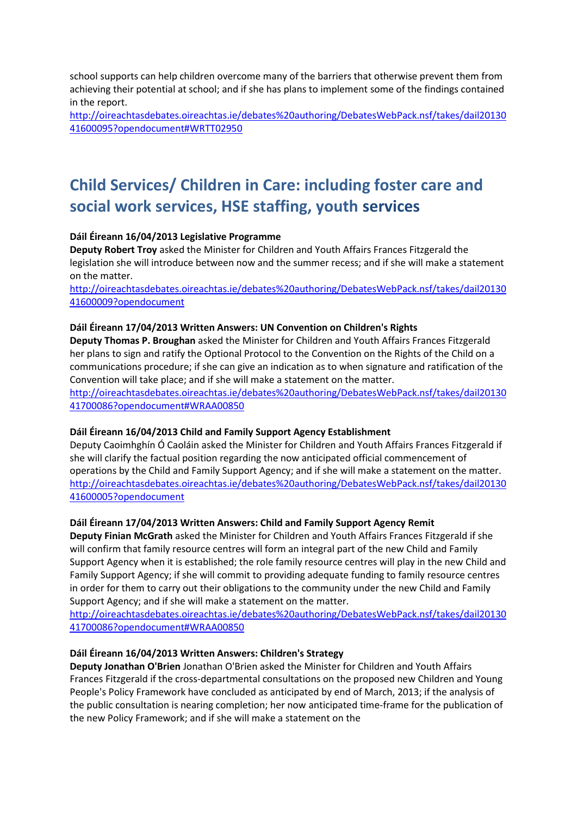school supports can help children overcome many of the barriers that otherwise prevent them from achieving their potential at school; and if she has plans to implement some of the findings contained in the report.

[http://oireachtasdebates.oireachtas.ie/debates%20authoring/DebatesWebPack.nsf/takes/dail20130](http://oireachtasdebates.oireachtas.ie/debates%20authoring/DebatesWebPack.nsf/takes/dail2013041600095?opendocument#WRTT02950) [41600095?opendocument#WRTT02950](http://oireachtasdebates.oireachtas.ie/debates%20authoring/DebatesWebPack.nsf/takes/dail2013041600095?opendocument#WRTT02950)

# <span id="page-1-0"></span>**Child Services/ Children in Care: including foster care and social work services, HSE staffing, youth services**

#### <span id="page-1-1"></span>**Dáil Éireann 16/04/2013 Legislative Programme**

**Deputy Robert Troy** asked the Minister for Children and Youth Affairs Frances Fitzgerald the legislation she will introduce between now and the summer recess; and if she will make a statement on the matter.

[http://oireachtasdebates.oireachtas.ie/debates%20authoring/DebatesWebPack.nsf/takes/dail20130](http://oireachtasdebates.oireachtas.ie/debates%20authoring/DebatesWebPack.nsf/takes/dail2013041600009?opendocument) [41600009?opendocument](http://oireachtasdebates.oireachtas.ie/debates%20authoring/DebatesWebPack.nsf/takes/dail2013041600009?opendocument)

#### **Dáil Éireann 17/04/2013 Written Answers: UN Convention on Children's Rights**

**Deputy Thomas P. Broughan** asked the Minister for Children and Youth Affairs Frances Fitzgerald her plans to sign and ratify the Optional Protocol to the Convention on the Rights of the Child on a communications procedure; if she can give an indication as to when signature and ratification of the Convention will take place; and if she will make a statement on the matter.

[http://oireachtasdebates.oireachtas.ie/debates%20authoring/DebatesWebPack.nsf/takes/dail20130](http://oireachtasdebates.oireachtas.ie/debates%20authoring/DebatesWebPack.nsf/takes/dail2013041700086?opendocument#WRAA00850) [41700086?opendocument#WRAA00850](http://oireachtasdebates.oireachtas.ie/debates%20authoring/DebatesWebPack.nsf/takes/dail2013041700086?opendocument#WRAA00850)

#### **Dáil Éireann 16/04/2013 Child and Family Support Agency Establishment**

Deputy Caoimhghín Ó Caoláin asked the Minister for Children and Youth Affairs Frances Fitzgerald if she will clarify the factual position regarding the now anticipated official commencement of operations by the Child and Family Support Agency; and if she will make a statement on the matter. [http://oireachtasdebates.oireachtas.ie/debates%20authoring/DebatesWebPack.nsf/takes/dail20130](http://oireachtasdebates.oireachtas.ie/debates%20authoring/DebatesWebPack.nsf/takes/dail2013041600005?opendocument) [41600005?opendocument](http://oireachtasdebates.oireachtas.ie/debates%20authoring/DebatesWebPack.nsf/takes/dail2013041600005?opendocument)

#### **Dáil Éireann 17/04/2013 Written Answers: Child and Family Support Agency Remit**

**Deputy Finian McGrath** asked the Minister for Children and Youth Affairs Frances Fitzgerald if she will confirm that family resource centres will form an integral part of the new Child and Family Support Agency when it is established; the role family resource centres will play in the new Child and Family Support Agency; if she will commit to providing adequate funding to family resource centres in order for them to carry out their obligations to the community under the new Child and Family Support Agency; and if she will make a statement on the matter.

[http://oireachtasdebates.oireachtas.ie/debates%20authoring/DebatesWebPack.nsf/takes/dail20130](http://oireachtasdebates.oireachtas.ie/debates%20authoring/DebatesWebPack.nsf/takes/dail2013041700086?opendocument#WRAA00850) [41700086?opendocument#WRAA00850](http://oireachtasdebates.oireachtas.ie/debates%20authoring/DebatesWebPack.nsf/takes/dail2013041700086?opendocument#WRAA00850)

#### **Dáil Éireann 16/04/2013 Written Answers: Children's Strategy**

**Deputy Jonathan O'Brien** Jonathan O'Brien asked the Minister for Children and Youth Affairs Frances Fitzgerald if the cross-departmental consultations on the proposed new Children and Young People's Policy Framework have concluded as anticipated by end of March, 2013; if the analysis of the public consultation is nearing completion; her now anticipated time-frame for the publication of the new Policy Framework; and if she will make a statement on the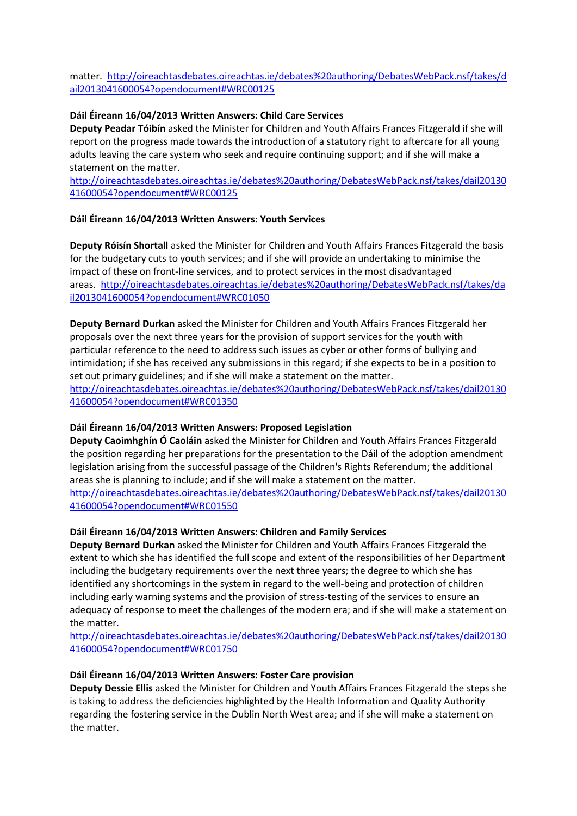matter. [http://oireachtasdebates.oireachtas.ie/debates%20authoring/DebatesWebPack.nsf/takes/d](http://oireachtasdebates.oireachtas.ie/debates%20authoring/DebatesWebPack.nsf/takes/dail2013041600054?opendocument#WRC00125) [ail2013041600054?opendocument#WRC00125](http://oireachtasdebates.oireachtas.ie/debates%20authoring/DebatesWebPack.nsf/takes/dail2013041600054?opendocument#WRC00125)

#### **Dáil Éireann 16/04/2013 Written Answers: Child Care Services**

**Deputy Peadar Tóibín** asked the Minister for Children and Youth Affairs Frances Fitzgerald if she will report on the progress made towards the introduction of a statutory right to aftercare for all young adults leaving the care system who seek and require continuing support; and if she will make a statement on the matter.

[http://oireachtasdebates.oireachtas.ie/debates%20authoring/DebatesWebPack.nsf/takes/dail20130](http://oireachtasdebates.oireachtas.ie/debates%20authoring/DebatesWebPack.nsf/takes/dail2013041600054?opendocument#WRC00125) [41600054?opendocument#WRC00125](http://oireachtasdebates.oireachtas.ie/debates%20authoring/DebatesWebPack.nsf/takes/dail2013041600054?opendocument#WRC00125)

#### **Dáil Éireann 16/04/2013 Written Answers: Youth Services**

**Deputy Róisín Shortall** asked the Minister for Children and Youth Affairs Frances Fitzgerald the basis for the budgetary cuts to youth services; and if she will provide an undertaking to minimise the impact of these on front-line services, and to protect services in the most disadvantaged areas. [http://oireachtasdebates.oireachtas.ie/debates%20authoring/DebatesWebPack.nsf/takes/da](http://oireachtasdebates.oireachtas.ie/debates%20authoring/DebatesWebPack.nsf/takes/dail2013041600054?opendocument#WRC01050) [il2013041600054?opendocument#WRC01050](http://oireachtasdebates.oireachtas.ie/debates%20authoring/DebatesWebPack.nsf/takes/dail2013041600054?opendocument#WRC01050)

**Deputy Bernard Durkan** asked the Minister for Children and Youth Affairs Frances Fitzgerald her proposals over the next three years for the provision of support services for the youth with particular reference to the need to address such issues as cyber or other forms of bullying and intimidation; if she has received any submissions in this regard; if she expects to be in a position to set out primary guidelines; and if she will make a statement on the matter. [http://oireachtasdebates.oireachtas.ie/debates%20authoring/DebatesWebPack.nsf/takes/dail20130](http://oireachtasdebates.oireachtas.ie/debates%20authoring/DebatesWebPack.nsf/takes/dail2013041600054?opendocument#WRC01350) [41600054?opendocument#WRC01350](http://oireachtasdebates.oireachtas.ie/debates%20authoring/DebatesWebPack.nsf/takes/dail2013041600054?opendocument#WRC01350)

#### **Dáil Éireann 16/04/2013 Written Answers: Proposed Legislation**

**Deputy Caoimhghín Ó Caoláin** asked the Minister for Children and Youth Affairs Frances Fitzgerald the position regarding her preparations for the presentation to the Dáil of the adoption amendment legislation arising from the successful passage of the Children's Rights Referendum; the additional areas she is planning to include; and if she will make a statement on the matter. [http://oireachtasdebates.oireachtas.ie/debates%20authoring/DebatesWebPack.nsf/takes/dail20130](http://oireachtasdebates.oireachtas.ie/debates%20authoring/DebatesWebPack.nsf/takes/dail2013041600054?opendocument#WRC01550) [41600054?opendocument#WRC01550](http://oireachtasdebates.oireachtas.ie/debates%20authoring/DebatesWebPack.nsf/takes/dail2013041600054?opendocument#WRC01550)

#### **Dáil Éireann 16/04/2013 Written Answers: Children and Family Services**

**Deputy Bernard Durkan** asked the Minister for Children and Youth Affairs Frances Fitzgerald the extent to which she has identified the full scope and extent of the responsibilities of her Department including the budgetary requirements over the next three years; the degree to which she has identified any shortcomings in the system in regard to the well-being and protection of children including early warning systems and the provision of stress-testing of the services to ensure an adequacy of response to meet the challenges of the modern era; and if she will make a statement on the matter.

[http://oireachtasdebates.oireachtas.ie/debates%20authoring/DebatesWebPack.nsf/takes/dail20130](http://oireachtasdebates.oireachtas.ie/debates%20authoring/DebatesWebPack.nsf/takes/dail2013041600054?opendocument#WRC01750) [41600054?opendocument#WRC01750](http://oireachtasdebates.oireachtas.ie/debates%20authoring/DebatesWebPack.nsf/takes/dail2013041600054?opendocument#WRC01750)

#### **Dáil Éireann 16/04/2013 Written Answers: Foster Care provision**

**Deputy Dessie Ellis** asked the Minister for Children and Youth Affairs Frances Fitzgerald the steps she is taking to address the deficiencies highlighted by the Health Information and Quality Authority regarding the fostering service in the Dublin North West area; and if she will make a statement on the matter.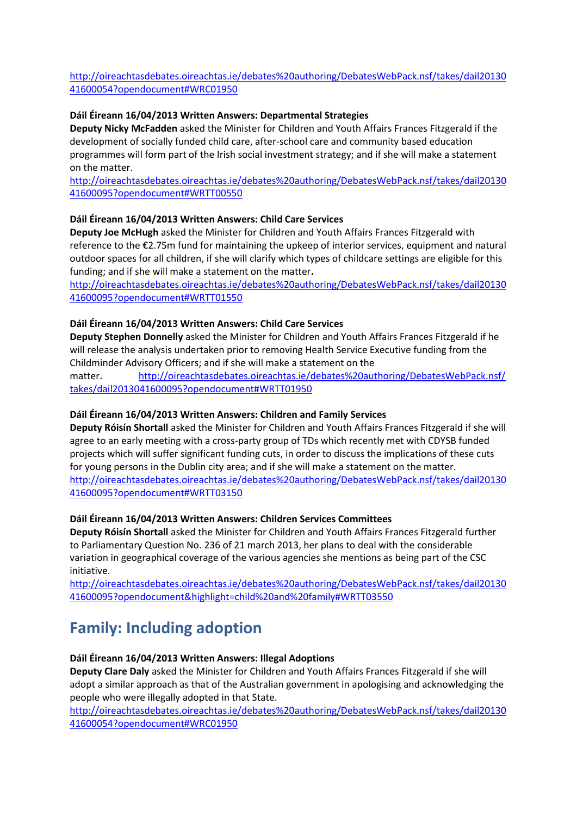[http://oireachtasdebates.oireachtas.ie/debates%20authoring/DebatesWebPack.nsf/takes/dail20130](http://oireachtasdebates.oireachtas.ie/debates%20authoring/DebatesWebPack.nsf/takes/dail2013041600054?opendocument#WRC01950) [41600054?opendocument#WRC01950](http://oireachtasdebates.oireachtas.ie/debates%20authoring/DebatesWebPack.nsf/takes/dail2013041600054?opendocument#WRC01950)

#### **Dáil Éireann 16/04/2013 Written Answers: Departmental Strategies**

**Deputy Nicky McFadden** asked the Minister for Children and Youth Affairs Frances Fitzgerald if the development of socially funded child care, after-school care and community based education programmes will form part of the Irish social investment strategy; and if she will make a statement on the matter.

[http://oireachtasdebates.oireachtas.ie/debates%20authoring/DebatesWebPack.nsf/takes/dail20130](http://oireachtasdebates.oireachtas.ie/debates%20authoring/DebatesWebPack.nsf/takes/dail2013041600095?opendocument#WRTT00550) [41600095?opendocument#WRTT00550](http://oireachtasdebates.oireachtas.ie/debates%20authoring/DebatesWebPack.nsf/takes/dail2013041600095?opendocument#WRTT00550)

#### **Dáil Éireann 16/04/2013 Written Answers: Child Care Services**

**Deputy Joe McHugh** asked the Minister for Children and Youth Affairs Frances Fitzgerald with reference to the €2.75m fund for maintaining the upkeep of interior services, equipment and natural outdoor spaces for all children, if she will clarify which types of childcare settings are eligible for this funding; and if she will make a statement on the matter**.**

[http://oireachtasdebates.oireachtas.ie/debates%20authoring/DebatesWebPack.nsf/takes/dail20130](http://oireachtasdebates.oireachtas.ie/debates%20authoring/DebatesWebPack.nsf/takes/dail2013041600095?opendocument#WRTT01550) [41600095?opendocument#WRTT01550](http://oireachtasdebates.oireachtas.ie/debates%20authoring/DebatesWebPack.nsf/takes/dail2013041600095?opendocument#WRTT01550)

#### **Dáil Éireann 16/04/2013 Written Answers: Child Care Services**

**Deputy Stephen Donnelly** asked the Minister for Children and Youth Affairs Frances Fitzgerald if he will release the analysis undertaken prior to removing Health Service Executive funding from the Childminder Advisory Officers; and if she will make a statement on the

matter. [http://oireachtasdebates.oireachtas.ie/debates%20authoring/DebatesWebPack.nsf/](http://oireachtasdebates.oireachtas.ie/debates%20authoring/DebatesWebPack.nsf/takes/dail2013041600095?opendocument#WRTT01950) [takes/dail2013041600095?opendocument#WRTT01950](http://oireachtasdebates.oireachtas.ie/debates%20authoring/DebatesWebPack.nsf/takes/dail2013041600095?opendocument#WRTT01950)

#### **Dáil Éireann 16/04/2013 Written Answers: Children and Family Services**

**Deputy Róisín Shortall** asked the Minister for Children and Youth Affairs Frances Fitzgerald if she will agree to an early meeting with a cross-party group of TDs which recently met with CDYSB funded projects which will suffer significant funding cuts, in order to discuss the implications of these cuts for young persons in the Dublin city area; and if she will make a statement on the matter. [http://oireachtasdebates.oireachtas.ie/debates%20authoring/DebatesWebPack.nsf/takes/dail20130](http://oireachtasdebates.oireachtas.ie/debates%20authoring/DebatesWebPack.nsf/takes/dail2013041600095?opendocument#WRTT03150) [41600095?opendocument#WRTT03150](http://oireachtasdebates.oireachtas.ie/debates%20authoring/DebatesWebPack.nsf/takes/dail2013041600095?opendocument#WRTT03150)

#### **Dáil Éireann 16/04/2013 Written Answers: Children Services Committees**

**Deputy Róisín Shortall** asked the Minister for Children and Youth Affairs Frances Fitzgerald further to Parliamentary Question No. 236 of 21 march 2013, her plans to deal with the considerable variation in geographical coverage of the various agencies she mentions as being part of the CSC initiative.

[http://oireachtasdebates.oireachtas.ie/debates%20authoring/DebatesWebPack.nsf/takes/dail20130](http://oireachtasdebates.oireachtas.ie/debates%20authoring/DebatesWebPack.nsf/takes/dail2013041600095?opendocument&highlight=child%20and%20family#WRTT03550) [41600095?opendocument&highlight=child%20and%20family#WRTT03550](http://oireachtasdebates.oireachtas.ie/debates%20authoring/DebatesWebPack.nsf/takes/dail2013041600095?opendocument&highlight=child%20and%20family#WRTT03550)

### <span id="page-3-0"></span>**Family: Including adoption**

#### **Dáil Éireann 16/04/2013 Written Answers: Illegal Adoptions**

**Deputy Clare Daly** asked the Minister for Children and Youth Affairs Frances Fitzgerald if she will adopt a similar approach as that of the Australian government in apologising and acknowledging the people who were illegally adopted in that State.

[http://oireachtasdebates.oireachtas.ie/debates%20authoring/DebatesWebPack.nsf/takes/dail20130](http://oireachtasdebates.oireachtas.ie/debates%20authoring/DebatesWebPack.nsf/takes/dail2013041600054?opendocument#WRC01950) [41600054?opendocument#WRC01950](http://oireachtasdebates.oireachtas.ie/debates%20authoring/DebatesWebPack.nsf/takes/dail2013041600054?opendocument#WRC01950)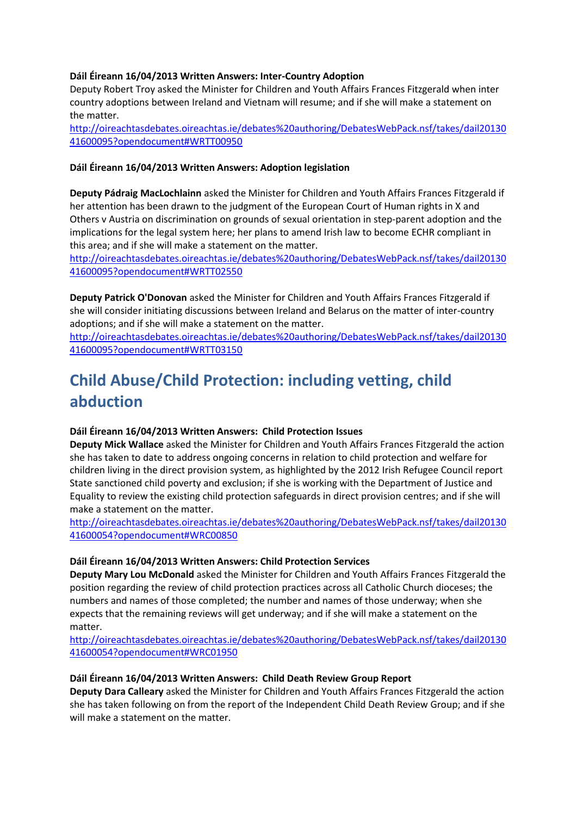#### **Dáil Éireann 16/04/2013 Written Answers: Inter-Country Adoption**

Deputy Robert Troy asked the Minister for Children and Youth Affairs Frances Fitzgerald when inter country adoptions between Ireland and Vietnam will resume; and if she will make a statement on the matter.

[http://oireachtasdebates.oireachtas.ie/debates%20authoring/DebatesWebPack.nsf/takes/dail20130](http://oireachtasdebates.oireachtas.ie/debates%20authoring/DebatesWebPack.nsf/takes/dail2013041600095?opendocument#WRTT00950) [41600095?opendocument#WRTT00950](http://oireachtasdebates.oireachtas.ie/debates%20authoring/DebatesWebPack.nsf/takes/dail2013041600095?opendocument#WRTT00950)

#### **Dáil Éireann 16/04/2013 Written Answers: Adoption legislation**

**Deputy Pádraig MacLochlainn** asked the Minister for Children and Youth Affairs Frances Fitzgerald if her attention has been drawn to the judgment of the European Court of Human rights in X and Others v Austria on discrimination on grounds of sexual orientation in step-parent adoption and the implications for the legal system here; her plans to amend Irish law to become ECHR compliant in this area; and if she will make a statement on the matter.

[http://oireachtasdebates.oireachtas.ie/debates%20authoring/DebatesWebPack.nsf/takes/dail20130](http://oireachtasdebates.oireachtas.ie/debates%20authoring/DebatesWebPack.nsf/takes/dail2013041600095?opendocument#WRTT02550) [41600095?opendocument#WRTT02550](http://oireachtasdebates.oireachtas.ie/debates%20authoring/DebatesWebPack.nsf/takes/dail2013041600095?opendocument#WRTT02550)

**Deputy Patrick O'Donovan** asked the Minister for Children and Youth Affairs Frances Fitzgerald if she will consider initiating discussions between Ireland and Belarus on the matter of inter-country adoptions; and if she will make a statement on the matter.

[http://oireachtasdebates.oireachtas.ie/debates%20authoring/DebatesWebPack.nsf/takes/dail20130](http://oireachtasdebates.oireachtas.ie/debates%20authoring/DebatesWebPack.nsf/takes/dail2013041600095?opendocument#WRTT03150) [41600095?opendocument#WRTT03150](http://oireachtasdebates.oireachtas.ie/debates%20authoring/DebatesWebPack.nsf/takes/dail2013041600095?opendocument#WRTT03150)

# **Child Abuse/Child Protection: including vetting, child abduction**

### **Dáil Éireann 16/04/2013 Written Answers: Child Protection Issues**

**Deputy Mick Wallace** asked the Minister for Children and Youth Affairs Frances Fitzgerald the action she has taken to date to address ongoing concerns in relation to child protection and welfare for children living in the direct provision system, as highlighted by the 2012 Irish Refugee Council report State sanctioned child poverty and exclusion; if she is working with the Department of Justice and Equality to review the existing child protection safeguards in direct provision centres; and if she will make a statement on the matter.

[http://oireachtasdebates.oireachtas.ie/debates%20authoring/DebatesWebPack.nsf/takes/dail20130](http://oireachtasdebates.oireachtas.ie/debates%20authoring/DebatesWebPack.nsf/takes/dail2013041600054?opendocument#WRC00850) [41600054?opendocument#WRC00850](http://oireachtasdebates.oireachtas.ie/debates%20authoring/DebatesWebPack.nsf/takes/dail2013041600054?opendocument#WRC00850)

#### **Dáil Éireann 16/04/2013 Written Answers: Child Protection Services**

**Deputy Mary Lou McDonald** asked the Minister for Children and Youth Affairs Frances Fitzgerald the position regarding the review of child protection practices across all Catholic Church dioceses; the numbers and names of those completed; the number and names of those underway; when she expects that the remaining reviews will get underway; and if she will make a statement on the matter.

[http://oireachtasdebates.oireachtas.ie/debates%20authoring/DebatesWebPack.nsf/takes/dail20130](http://oireachtasdebates.oireachtas.ie/debates%20authoring/DebatesWebPack.nsf/takes/dail2013041600054?opendocument#WRC01950) [41600054?opendocument#WRC01950](http://oireachtasdebates.oireachtas.ie/debates%20authoring/DebatesWebPack.nsf/takes/dail2013041600054?opendocument#WRC01950)

#### **Dáil Éireann 16/04/2013 Written Answers: Child Death Review Group Report**

**Deputy Dara Calleary** asked the Minister for Children and Youth Affairs Frances Fitzgerald the action she has taken following on from the report of the Independent Child Death Review Group; and if she will make a statement on the matter.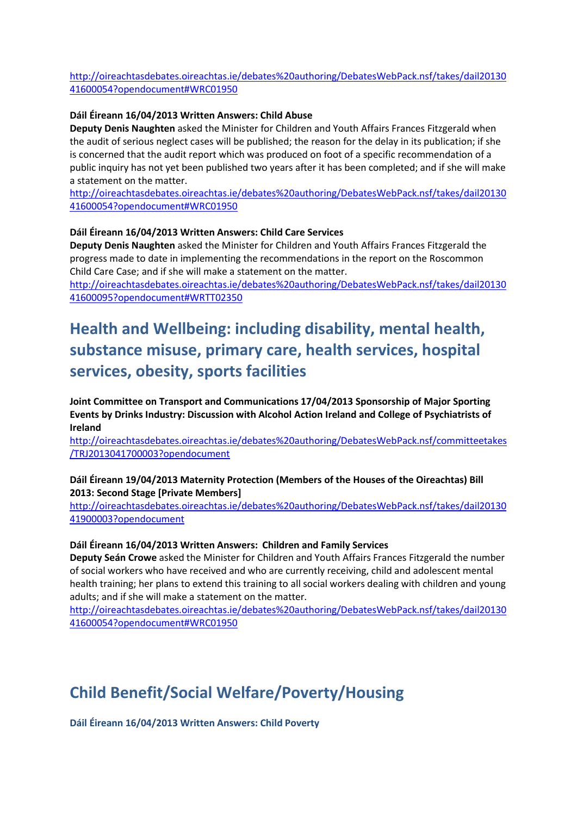[http://oireachtasdebates.oireachtas.ie/debates%20authoring/DebatesWebPack.nsf/takes/dail20130](http://oireachtasdebates.oireachtas.ie/debates%20authoring/DebatesWebPack.nsf/takes/dail2013041600054?opendocument#WRC01950) [41600054?opendocument#WRC01950](http://oireachtasdebates.oireachtas.ie/debates%20authoring/DebatesWebPack.nsf/takes/dail2013041600054?opendocument#WRC01950)

#### **Dáil Éireann 16/04/2013 Written Answers: Child Abuse**

**Deputy Denis Naughten** asked the Minister for Children and Youth Affairs Frances Fitzgerald when the audit of serious neglect cases will be published; the reason for the delay in its publication; if she is concerned that the audit report which was produced on foot of a specific recommendation of a public inquiry has not yet been published two years after it has been completed; and if she will make a statement on the matter.

[http://oireachtasdebates.oireachtas.ie/debates%20authoring/DebatesWebPack.nsf/takes/dail20130](http://oireachtasdebates.oireachtas.ie/debates%20authoring/DebatesWebPack.nsf/takes/dail2013041600054?opendocument#WRC01950) [41600054?opendocument#WRC01950](http://oireachtasdebates.oireachtas.ie/debates%20authoring/DebatesWebPack.nsf/takes/dail2013041600054?opendocument#WRC01950)

#### **Dáil Éireann 16/04/2013 Written Answers: Child Care Services**

**Deputy Denis Naughten** asked the Minister for Children and Youth Affairs Frances Fitzgerald the progress made to date in implementing the recommendations in the report on the Roscommon Child Care Case; and if she will make a statement on the matter.

[http://oireachtasdebates.oireachtas.ie/debates%20authoring/DebatesWebPack.nsf/takes/dail20130](http://oireachtasdebates.oireachtas.ie/debates%20authoring/DebatesWebPack.nsf/takes/dail2013041600095?opendocument#WRTT02350) [41600095?opendocument#WRTT02350](http://oireachtasdebates.oireachtas.ie/debates%20authoring/DebatesWebPack.nsf/takes/dail2013041600095?opendocument#WRTT02350)

# <span id="page-5-0"></span>**Health and Wellbeing: including disability, mental health, substance misuse, primary care, health services, hospital services, obesity, sports facilities**

<span id="page-5-1"></span>**Joint Committee on Transport and Communications 17/04/2013 Sponsorship of Major Sporting Events by Drinks Industry: Discussion with Alcohol Action Ireland and College of Psychiatrists of Ireland** 

[http://oireachtasdebates.oireachtas.ie/debates%20authoring/DebatesWebPack.nsf/committeetakes](http://oireachtasdebates.oireachtas.ie/debates%20authoring/DebatesWebPack.nsf/committeetakes/TRJ2013041700003?opendocument) [/TRJ2013041700003?opendocument](http://oireachtasdebates.oireachtas.ie/debates%20authoring/DebatesWebPack.nsf/committeetakes/TRJ2013041700003?opendocument)

#### **Dáil Éireann 19/04/2013 Maternity Protection (Members of the Houses of the Oireachtas) Bill 2013: Second Stage [Private Members]**

[http://oireachtasdebates.oireachtas.ie/debates%20authoring/DebatesWebPack.nsf/takes/dail20130](http://oireachtasdebates.oireachtas.ie/debates%20authoring/DebatesWebPack.nsf/takes/dail2013041900003?opendocument) [41900003?opendocument](http://oireachtasdebates.oireachtas.ie/debates%20authoring/DebatesWebPack.nsf/takes/dail2013041900003?opendocument)

#### **Dáil Éireann 16/04/2013 Written Answers: Children and Family Services**

**Deputy Seán Crowe** asked the Minister for Children and Youth Affairs Frances Fitzgerald the number of social workers who have received and who are currently receiving, child and adolescent mental health training; her plans to extend this training to all social workers dealing with children and young adults; and if she will make a statement on the matter.

[http://oireachtasdebates.oireachtas.ie/debates%20authoring/DebatesWebPack.nsf/takes/dail20130](http://oireachtasdebates.oireachtas.ie/debates%20authoring/DebatesWebPack.nsf/takes/dail2013041600054?opendocument#WRC01950) [41600054?opendocument#WRC01950](http://oireachtasdebates.oireachtas.ie/debates%20authoring/DebatesWebPack.nsf/takes/dail2013041600054?opendocument#WRC01950)

# **Child Benefit/Social Welfare/Poverty/Housing**

**Dáil Éireann 16/04/2013 Written Answers: Child Poverty**